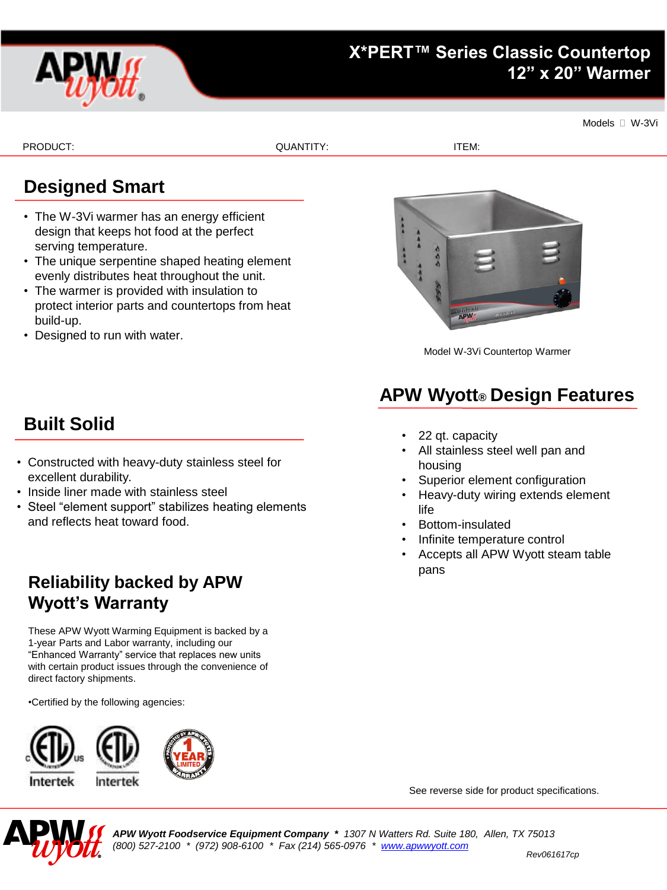

Models <sup>I</sup> W-3Vi

PRODUCT: ITEM: ITEM: QUANTITY: ITEM: ITEM: ITEM: ITEM: ITEM: ITEM: ITEM: ITEM: ITEM: ITEM: ITEM: ITEM: ITEM: I

## **Designed Smart**

- The W-3Vi warmer has an energy efficient design that keeps hot food at the perfect serving temperature.
- The unique serpentine shaped heating element evenly distributes heat throughout the unit.
- The warmer is provided with insulation to protect interior parts and countertops from heat build-up.
- Designed to run with water.



Model W-3Vi Countertop Warmer

# **APW Wyott® Design Features**

- 22 qt. capacity
- All stainless steel well pan and housing
- Superior element configuration
- Heavy-duty wiring extends element life
- Bottom-insulated
- Infinite temperature control
- Accepts all APW Wyott steam table pans

# **Built Solid**

- Constructed with heavy-duty stainless steel for excellent durability.
- Inside liner made with stainless steel
- Steel "element support" stabilizes heating elements and reflects heat toward food.

### **Reliability backed by APW Wyott's Warranty**

These APW Wyott Warming Equipment is backed by a 1-year Parts and Labor warranty, including our "Enhanced Warranty" service that replaces new units with certain product issues through the convenience of direct factory shipments.

•Certified by the following agencies:





See reverse side for product specifications.